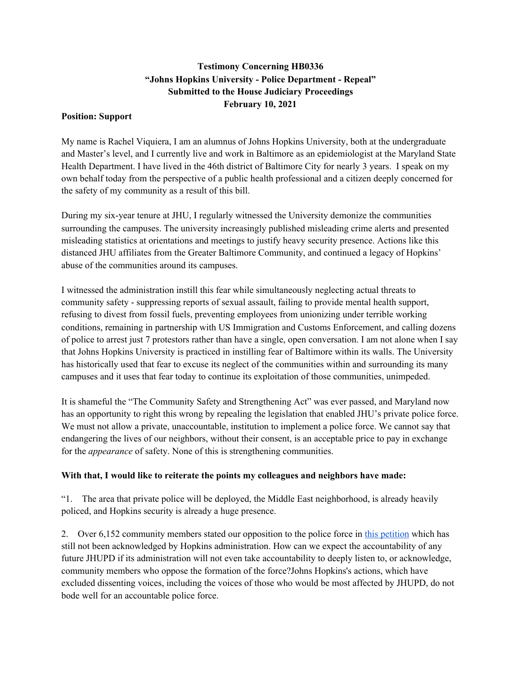## **Testimony Concerning HB0336 "Johns Hopkins University - Police Department - Repeal" Submitted to the House Judiciary Proceedings February 10, 2021**

## **Position: Support**

My name is Rachel Viquiera, I am an alumnus of Johns Hopkins University, both at the undergraduate and Master's level, and I currently live and work in Baltimore as an epidemiologist at the Maryland State Health Department. I have lived in the 46th district of Baltimore City for nearly 3 years. I speak on my own behalf today from the perspective of a public health professional and a citizen deeply concerned for the safety of my community as a result of this bill.

During my six-year tenure at JHU, I regularly witnessed the University demonize the communities surrounding the campuses. The university increasingly published misleading crime alerts and presented misleading statistics at orientations and meetings to justify heavy security presence. Actions like this distanced JHU affiliates from the Greater Baltimore Community, and continued a legacy of Hopkins' abuse of the communities around its campuses.

I witnessed the administration instill this fear while simultaneously neglecting actual threats to community safety - suppressing reports of sexual assault, failing to provide mental health support, refusing to divest from fossil fuels, preventing employees from unionizing under terrible working conditions, remaining in partnership with US Immigration and Customs Enforcement, and calling dozens of police to arrest just 7 protestors rather than have a single, open conversation. I am not alone when I say that Johns Hopkins University is practiced in instilling fear of Baltimore within its walls. The University has historically used that fear to excuse its neglect of the communities within and surrounding its many campuses and it uses that fear today to continue its exploitation of those communities, unimpeded.

It is shameful the "The Community Safety and Strengthening Act" was ever passed, and Maryland now has an opportunity to right this wrong by repealing the legislation that enabled JHU's private police force. We must not allow a private, unaccountable, institution to implement a police force. We cannot say that endangering the lives of our neighbors, without their consent, is an acceptable price to pay in exchange for the *appearance* of safety. None of this is strengthening communities.

## **With that, I would like to reiterate the points my colleagues and neighbors have made:**

"1. The area that private police will be deployed, the Middle East neighborhood, is already heavily policed, and Hopkins security is already a huge presence.

2. Over 6,152 commu[n](https://docs.google.com/forms/d/e/1FAIpQLSdpsB7_92QbqA11C4ApIZgUVMmVL4Tj6I1Td2VV0bwoA1ba0g/viewform?gxids=7628)ity members stated our opposition to the police force in this [petition](https://docs.google.com/forms/d/e/1FAIpQLSdpsB7_92QbqA11C4ApIZgUVMmVL4Tj6I1Td2VV0bwoA1ba0g/viewform?gxids=7628) which has still not been acknowledged by Hopkins administration. How can we expect the accountability of any future JHUPD if its administration will not even take accountability to deeply listen to, or acknowledge, community members who oppose the formation of the force?Johns Hopkins's actions, which have excluded dissenting voices, including the voices of those who would be most affected by JHUPD, do not bode well for an accountable police force.